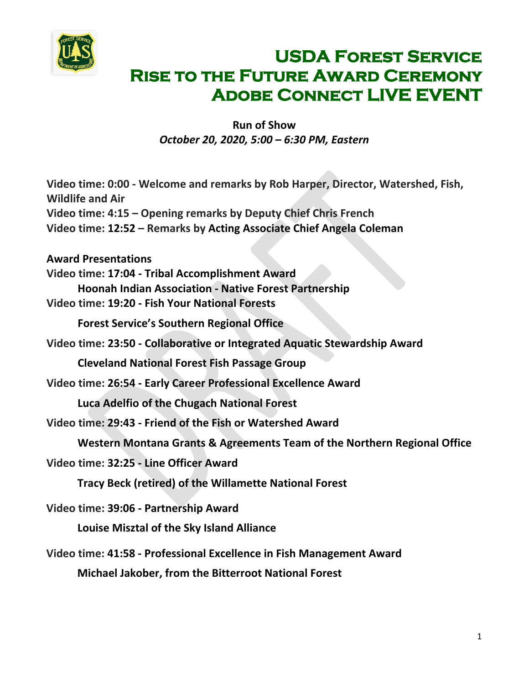

## **USDA Forest Service Rise to the Future Award Ceremony ADOBE CONNECT LIVE EVENT**

 $\sim$ 

**Run of Show** *October 20, 2020, 5:00 – 6:30 PM, Eastern*

| Video time: 0:00 - Welcome and remarks by Rob Harper, Director, Watershed, Fish,<br><b>Wildlife and Air</b> |
|-------------------------------------------------------------------------------------------------------------|
| Video time: 4:15 – Opening remarks by Deputy Chief Chris French                                             |
| Video time: 12:52 - Remarks by Acting Associate Chief Angela Coleman                                        |
| <b>Award Presentations</b>                                                                                  |
| Video time: 17:04 - Tribal Accomplishment Award                                                             |
| Hoonah Indian Association - Native Forest Partnership                                                       |
| Video time: 19:20 - Fish Your National Forests                                                              |
| <b>Forest Service's Southern Regional Office</b>                                                            |
| Video time: 23:50 - Collaborative or Integrated Aquatic Stewardship Award                                   |
| <b>Cleveland National Forest Fish Passage Group</b>                                                         |
| Video time: 26:54 - Early Career Professional Excellence Award                                              |
| <b>Luca Adelfio of the Chugach National Forest</b>                                                          |
| Video time: 29:43 - Friend of the Fish or Watershed Award                                                   |
| Western Montana Grants & Agreements Team of the Northern Regional Office                                    |
| Video time: 32:25 - Line Officer Award                                                                      |
| <b>Tracy Beck (retired) of the Willamette National Forest</b>                                               |
| Video time: 39:06 - Partnership Award                                                                       |
| Louise Misztal of the Sky Island Alliance                                                                   |
| Video time: 41:58 - Professional Excellence in Fish Management Award                                        |
| <b>Michael Jakober, from the Bitterroot National Forest</b>                                                 |